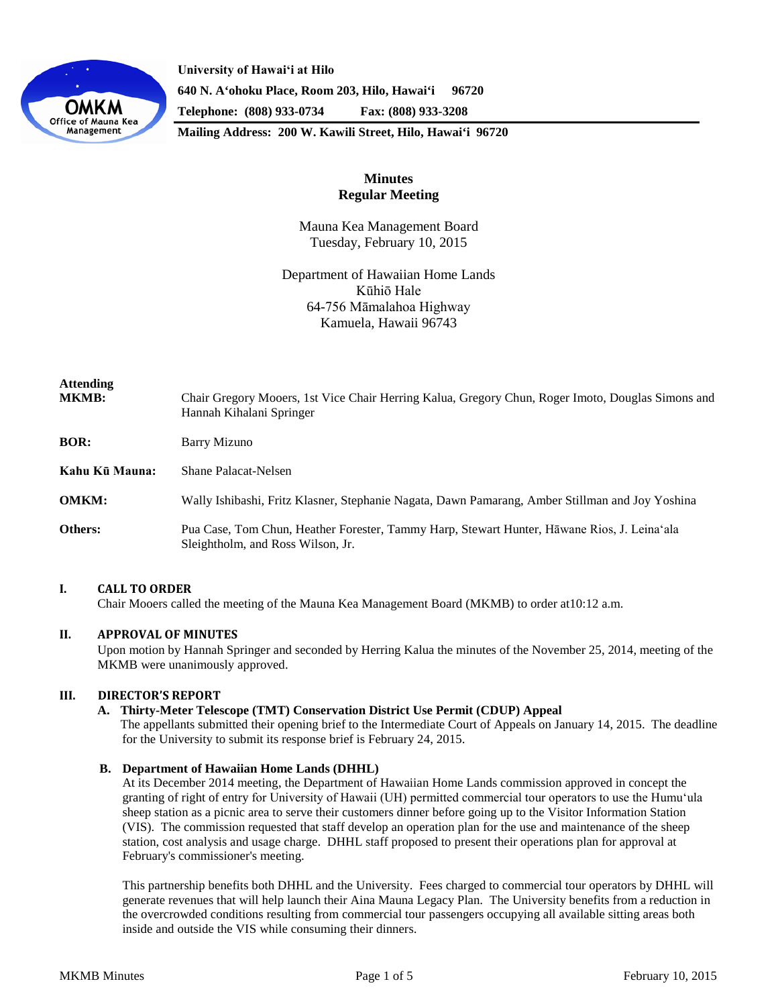

**University of Hawaiʻi at Hilo 640 N. A'ohoku Place, Room 203, Hilo, Hawai'i 96720 Telephone: (808) 933-0734 Fax: (808) 933-3208**

**Mailing Address: 200 W. Kawili Street, Hilo, Hawai'i 96720**

# **Minutes Regular Meeting**

Mauna Kea Management Board Tuesday, February 10, 2015

Department of Hawaiian Home Lands Kūhiō Hale 64-756 Māmalahoa Highway Kamuela, Hawaii 96743

| <b>Attending</b><br><b>MKMB:</b> | Chair Gregory Mooers, 1st Vice Chair Herring Kalua, Gregory Chun, Roger Imoto, Douglas Simons and<br>Hannah Kihalani Springer    |
|----------------------------------|----------------------------------------------------------------------------------------------------------------------------------|
| <b>BOR:</b>                      | Barry Mizuno                                                                                                                     |
| Kahu Kū Mauna:                   | Shane Palacat-Nelsen                                                                                                             |
| <b>OMKM:</b>                     | Wally Ishibashi, Fritz Klasner, Stephanie Nagata, Dawn Pamarang, Amber Stillman and Joy Yoshina                                  |
| Others:                          | Pua Case, Tom Chun, Heather Forester, Tammy Harp, Stewart Hunter, Hāwane Rios, J. Leina'ala<br>Sleightholm, and Ross Wilson, Jr. |

## **I. CALL TO ORDER**

Chair Mooers called the meeting of the Mauna Kea Management Board (MKMB) to order at10:12 a.m.

## **II. APPROVAL OF MINUTES**

Upon motion by Hannah Springer and seconded by Herring Kalua the minutes of the November 25, 2014, meeting of the MKMB were unanimously approved.

## **III. DIRECTOR'S REPORT**

### **A. Thirty-Meter Telescope (TMT) Conservation District Use Permit (CDUP) Appeal**

The appellants submitted their opening brief to the Intermediate Court of Appeals on January 14, 2015. The deadline for the University to submit its response brief is February 24, 2015.

### **B. Department of Hawaiian Home Lands (DHHL)**

At its December 2014 meeting, the Department of Hawaiian Home Lands commission approved in concept the granting of right of entry for University of Hawaii (UH) permitted commercial tour operators to use the Humuʻula sheep station as a picnic area to serve their customers dinner before going up to the Visitor Information Station (VIS). The commission requested that staff develop an operation plan for the use and maintenance of the sheep station, cost analysis and usage charge. DHHL staff proposed to present their operations plan for approval at February's commissioner's meeting.

This partnership benefits both DHHL and the University. Fees charged to commercial tour operators by DHHL will generate revenues that will help launch their Aina Mauna Legacy Plan. The University benefits from a reduction in the overcrowded conditions resulting from commercial tour passengers occupying all available sitting areas both inside and outside the VIS while consuming their dinners.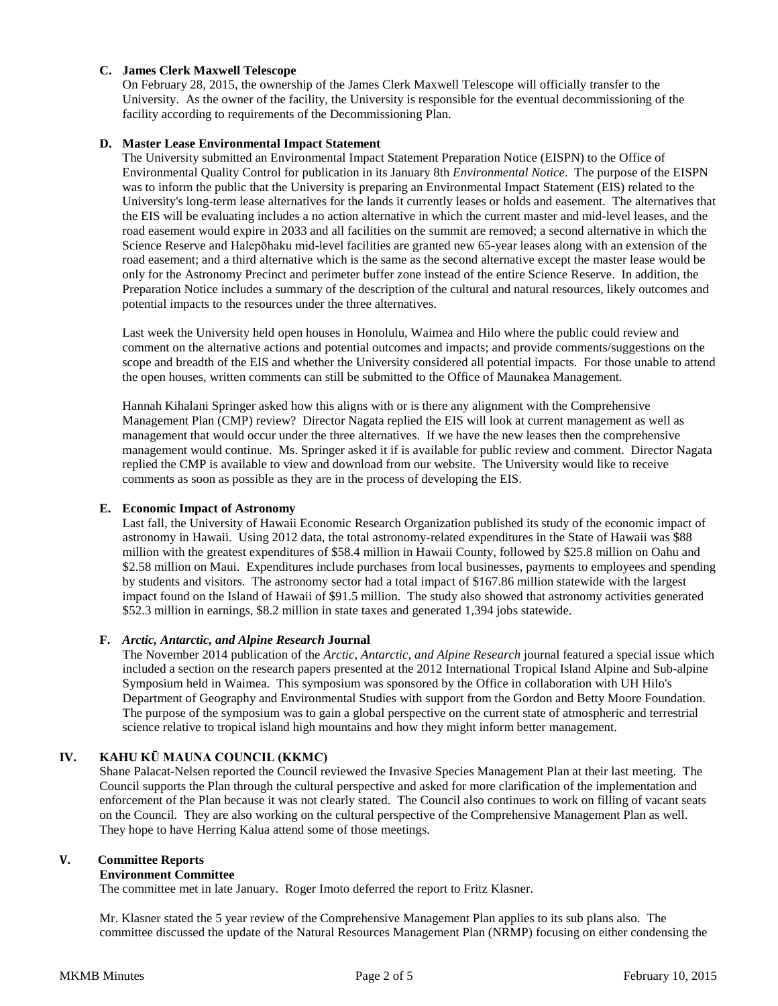## **C. James Clerk Maxwell Telescope**

On February 28, 2015, the ownership of the James Clerk Maxwell Telescope will officially transfer to the University. As the owner of the facility, the University is responsible for the eventual decommissioning of the facility according to requirements of the Decommissioning Plan.

## **D. Master Lease Environmental Impact Statement**

The University submitted an Environmental Impact Statement Preparation Notice (EISPN) to the Office of Environmental Quality Control for publication in its January 8th *Environmental Notice*. The purpose of the EISPN was to inform the public that the University is preparing an Environmental Impact Statement (EIS) related to the University's long-term lease alternatives for the lands it currently leases or holds and easement. The alternatives that the EIS will be evaluating includes a no action alternative in which the current master and mid-level leases, and the road easement would expire in 2033 and all facilities on the summit are removed; a second alternative in which the Science Reserve and Halepōhaku mid-level facilities are granted new 65-year leases along with an extension of the road easement; and a third alternative which is the same as the second alternative except the master lease would be only for the Astronomy Precinct and perimeter buffer zone instead of the entire Science Reserve. In addition, the Preparation Notice includes a summary of the description of the cultural and natural resources, likely outcomes and potential impacts to the resources under the three alternatives.

Last week the University held open houses in Honolulu, Waimea and Hilo where the public could review and comment on the alternative actions and potential outcomes and impacts; and provide comments/suggestions on the scope and breadth of the EIS and whether the University considered all potential impacts. For those unable to attend the open houses, written comments can still be submitted to the Office of Maunakea Management.

Hannah Kihalani Springer asked how this aligns with or is there any alignment with the Comprehensive Management Plan (CMP) review? Director Nagata replied the EIS will look at current management as well as management that would occur under the three alternatives. If we have the new leases then the comprehensive management would continue. Ms. Springer asked it if is available for public review and comment. Director Nagata replied the CMP is available to view and download from our website. The University would like to receive comments as soon as possible as they are in the process of developing the EIS.

### **E. Economic Impact of Astronomy**

Last fall, the University of Hawaii Economic Research Organization published its study of the economic impact of astronomy in Hawaii. Using 2012 data, the total astronomy-related expenditures in the State of Hawaii was \$88 million with the greatest expenditures of \$58.4 million in Hawaii County, followed by \$25.8 million on Oahu and \$2.58 million on Maui. Expenditures include purchases from local businesses, payments to employees and spending by students and visitors. The astronomy sector had a total impact of \$167.86 million statewide with the largest impact found on the Island of Hawaii of \$91.5 million. The study also showed that astronomy activities generated \$52.3 million in earnings, \$8.2 million in state taxes and generated 1,394 jobs statewide.

### **F.** *Arctic, Antarctic, and Alpine Research* **Journal**

The November 2014 publication of the *Arctic, Antarctic, and Alpine Research* journal featured a special issue which included a section on the research papers presented at the 2012 International Tropical Island Alpine and Sub-alpine Symposium held in Waimea. This symposium was sponsored by the Office in collaboration with UH Hilo's Department of Geography and Environmental Studies with support from the Gordon and Betty Moore Foundation. The purpose of the symposium was to gain a global perspective on the current state of atmospheric and terrestrial science relative to tropical island high mountains and how they might inform better management.

## **IV. KAHU KŪ MAUNA COUNCIL (KKMC)**

Shane Palacat-Nelsen reported the Council reviewed the Invasive Species Management Plan at their last meeting. The Council supports the Plan through the cultural perspective and asked for more clarification of the implementation and enforcement of the Plan because it was not clearly stated. The Council also continues to work on filling of vacant seats on the Council. They are also working on the cultural perspective of the Comprehensive Management Plan as well. They hope to have Herring Kalua attend some of those meetings.

## **V. Committee Reports**

### **Environment Committee**

The committee met in late January. Roger Imoto deferred the report to Fritz Klasner.

Mr. Klasner stated the 5 year review of the Comprehensive Management Plan applies to its sub plans also. The committee discussed the update of the Natural Resources Management Plan (NRMP) focusing on either condensing the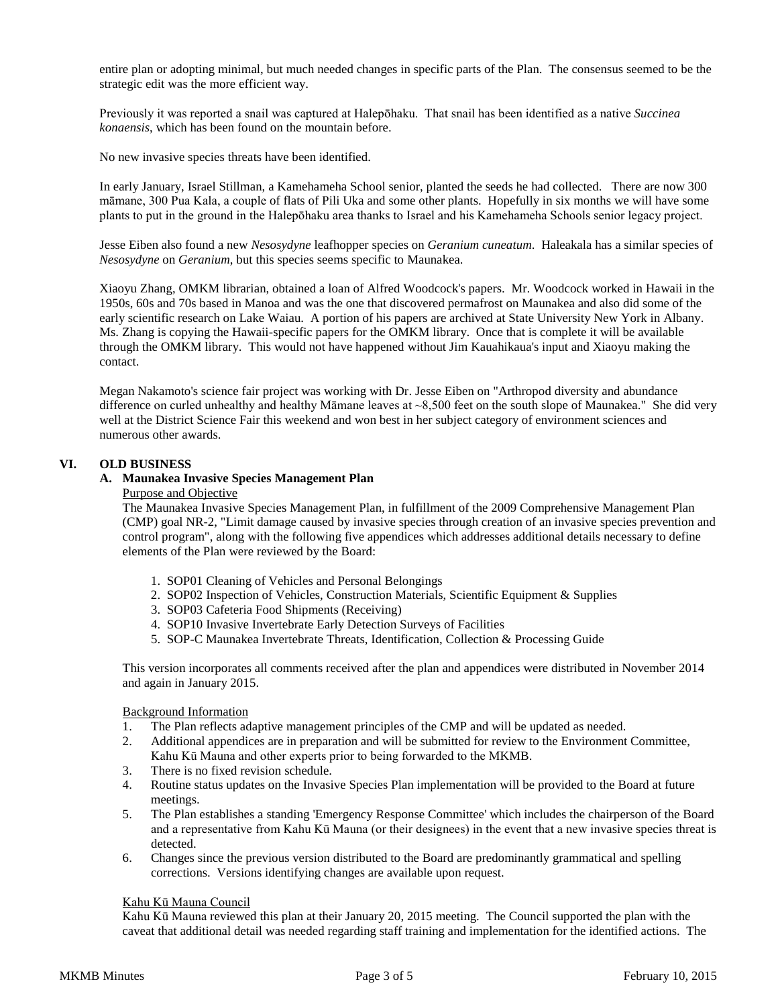entire plan or adopting minimal, but much needed changes in specific parts of the Plan. The consensus seemed to be the strategic edit was the more efficient way.

Previously it was reported a snail was captured at Halepōhaku. That snail has been identified as a native *Succinea konaensis*, which has been found on the mountain before.

No new invasive species threats have been identified.

In early January, Israel Stillman, a Kamehameha School senior, planted the seeds he had collected. There are now 300 māmane, 300 Pua Kala, a couple of flats of Pili Uka and some other plants. Hopefully in six months we will have some plants to put in the ground in the Halepōhaku area thanks to Israel and his Kamehameha Schools senior legacy project.

Jesse Eiben also found a new *Nesosydyne* leafhopper species on *Geranium cuneatum*. Haleakala has a similar species of *Nesosydyne* on *Geranium*, but this species seems specific to Maunakea.

Xiaoyu Zhang, OMKM librarian, obtained a loan of Alfred Woodcock's papers. Mr. Woodcock worked in Hawaii in the 1950s, 60s and 70s based in Manoa and was the one that discovered permafrost on Maunakea and also did some of the early scientific research on Lake Waiau. A portion of his papers are archived at State University New York in Albany. Ms. Zhang is copying the Hawaii-specific papers for the OMKM library. Once that is complete it will be available through the OMKM library. This would not have happened without Jim Kauahikaua's input and Xiaoyu making the contact.

Megan Nakamoto's science fair project was working with Dr. Jesse Eiben on "Arthropod diversity and abundance difference on curled unhealthy and healthy Māmane leaves at ~8,500 feet on the south slope of Maunakea." She did very well at the District Science Fair this weekend and won best in her subject category of environment sciences and numerous other awards.

## **VI. OLD BUSINESS**

## **A. Maunakea Invasive Species Management Plan**

## Purpose and Objective

The Maunakea Invasive Species Management Plan, in fulfillment of the 2009 Comprehensive Management Plan (CMP) goal NR-2, "Limit damage caused by invasive species through creation of an invasive species prevention and control program", along with the following five appendices which addresses additional details necessary to define elements of the Plan were reviewed by the Board:

- 1. SOP01 Cleaning of Vehicles and Personal Belongings
- 2. SOP02 Inspection of Vehicles, Construction Materials, Scientific Equipment & Supplies
- 3. SOP03 Cafeteria Food Shipments (Receiving)
- 4. SOP10 Invasive Invertebrate Early Detection Surveys of Facilities
- 5. SOP-C Maunakea Invertebrate Threats, Identification, Collection & Processing Guide

This version incorporates all comments received after the plan and appendices were distributed in November 2014 and again in January 2015.

### Background Information

- 1. The Plan reflects adaptive management principles of the CMP and will be updated as needed.
- 2. Additional appendices are in preparation and will be submitted for review to the Environment Committee,
- Kahu Kū Mauna and other experts prior to being forwarded to the MKMB.
- 3. There is no fixed revision schedule.
- 4. Routine status updates on the Invasive Species Plan implementation will be provided to the Board at future meetings.
- 5. The Plan establishes a standing 'Emergency Response Committee' which includes the chairperson of the Board and a representative from Kahu Kū Mauna (or their designees) in the event that a new invasive species threat is detected.
- 6. Changes since the previous version distributed to the Board are predominantly grammatical and spelling corrections. Versions identifying changes are available upon request.

## Kahu Kū Mauna Council

Kahu Kū Mauna reviewed this plan at their January 20, 2015 meeting. The Council supported the plan with the caveat that additional detail was needed regarding staff training and implementation for the identified actions. The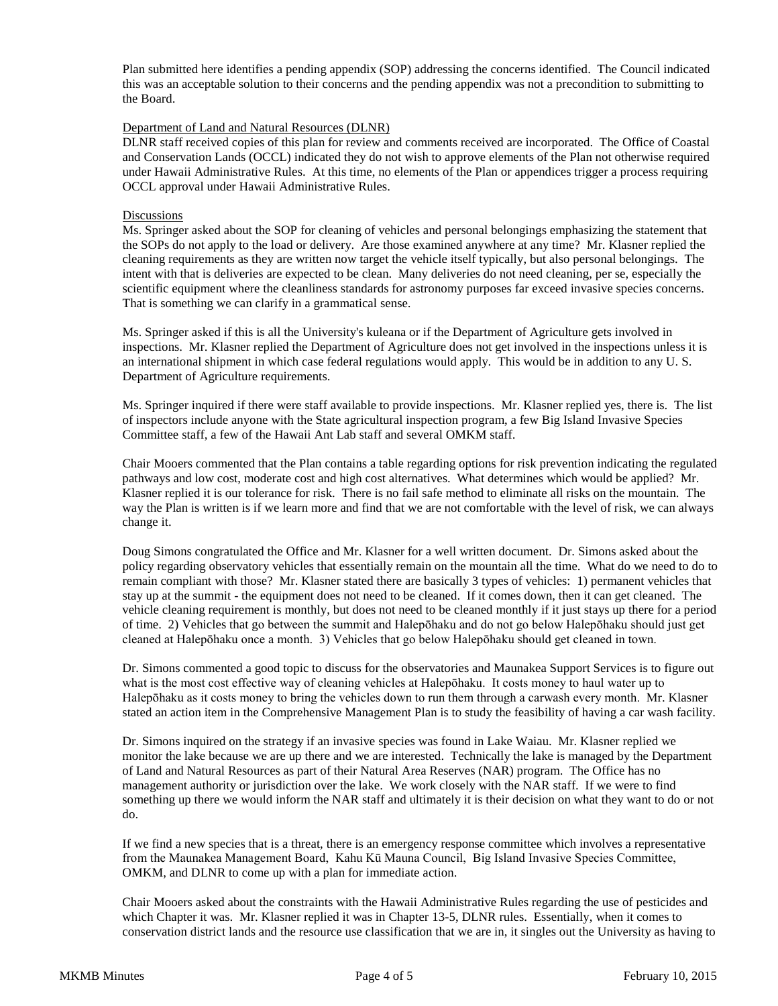Plan submitted here identifies a pending appendix (SOP) addressing the concerns identified. The Council indicated this was an acceptable solution to their concerns and the pending appendix was not a precondition to submitting to the Board.

### Department of Land and Natural Resources (DLNR)

DLNR staff received copies of this plan for review and comments received are incorporated. The Office of Coastal and Conservation Lands (OCCL) indicated they do not wish to approve elements of the Plan not otherwise required under Hawaii Administrative Rules. At this time, no elements of the Plan or appendices trigger a process requiring OCCL approval under Hawaii Administrative Rules.

### **Discussions**

Ms. Springer asked about the SOP for cleaning of vehicles and personal belongings emphasizing the statement that the SOPs do not apply to the load or delivery. Are those examined anywhere at any time? Mr. Klasner replied the cleaning requirements as they are written now target the vehicle itself typically, but also personal belongings. The intent with that is deliveries are expected to be clean. Many deliveries do not need cleaning, per se, especially the scientific equipment where the cleanliness standards for astronomy purposes far exceed invasive species concerns. That is something we can clarify in a grammatical sense.

Ms. Springer asked if this is all the University's kuleana or if the Department of Agriculture gets involved in inspections. Mr. Klasner replied the Department of Agriculture does not get involved in the inspections unless it is an international shipment in which case federal regulations would apply. This would be in addition to any U. S. Department of Agriculture requirements.

Ms. Springer inquired if there were staff available to provide inspections. Mr. Klasner replied yes, there is. The list of inspectors include anyone with the State agricultural inspection program, a few Big Island Invasive Species Committee staff, a few of the Hawaii Ant Lab staff and several OMKM staff.

Chair Mooers commented that the Plan contains a table regarding options for risk prevention indicating the regulated pathways and low cost, moderate cost and high cost alternatives. What determines which would be applied? Mr. Klasner replied it is our tolerance for risk. There is no fail safe method to eliminate all risks on the mountain. The way the Plan is written is if we learn more and find that we are not comfortable with the level of risk, we can always change it.

Doug Simons congratulated the Office and Mr. Klasner for a well written document. Dr. Simons asked about the policy regarding observatory vehicles that essentially remain on the mountain all the time. What do we need to do to remain compliant with those? Mr. Klasner stated there are basically 3 types of vehicles: 1) permanent vehicles that stay up at the summit - the equipment does not need to be cleaned. If it comes down, then it can get cleaned. The vehicle cleaning requirement is monthly, but does not need to be cleaned monthly if it just stays up there for a period of time. 2) Vehicles that go between the summit and Halepōhaku and do not go below Halepōhaku should just get cleaned at Halepōhaku once a month. 3) Vehicles that go below Halepōhaku should get cleaned in town.

Dr. Simons commented a good topic to discuss for the observatories and Maunakea Support Services is to figure out what is the most cost effective way of cleaning vehicles at Halepōhaku. It costs money to haul water up to Halepōhaku as it costs money to bring the vehicles down to run them through a carwash every month. Mr. Klasner stated an action item in the Comprehensive Management Plan is to study the feasibility of having a car wash facility.

Dr. Simons inquired on the strategy if an invasive species was found in Lake Waiau. Mr. Klasner replied we monitor the lake because we are up there and we are interested. Technically the lake is managed by the Department of Land and Natural Resources as part of their Natural Area Reserves (NAR) program. The Office has no management authority or jurisdiction over the lake. We work closely with the NAR staff. If we were to find something up there we would inform the NAR staff and ultimately it is their decision on what they want to do or not do.

If we find a new species that is a threat, there is an emergency response committee which involves a representative from the Maunakea Management Board, Kahu Kū Mauna Council, Big Island Invasive Species Committee, OMKM, and DLNR to come up with a plan for immediate action.

Chair Mooers asked about the constraints with the Hawaii Administrative Rules regarding the use of pesticides and which Chapter it was. Mr. Klasner replied it was in Chapter 13-5, DLNR rules. Essentially, when it comes to conservation district lands and the resource use classification that we are in, it singles out the University as having to